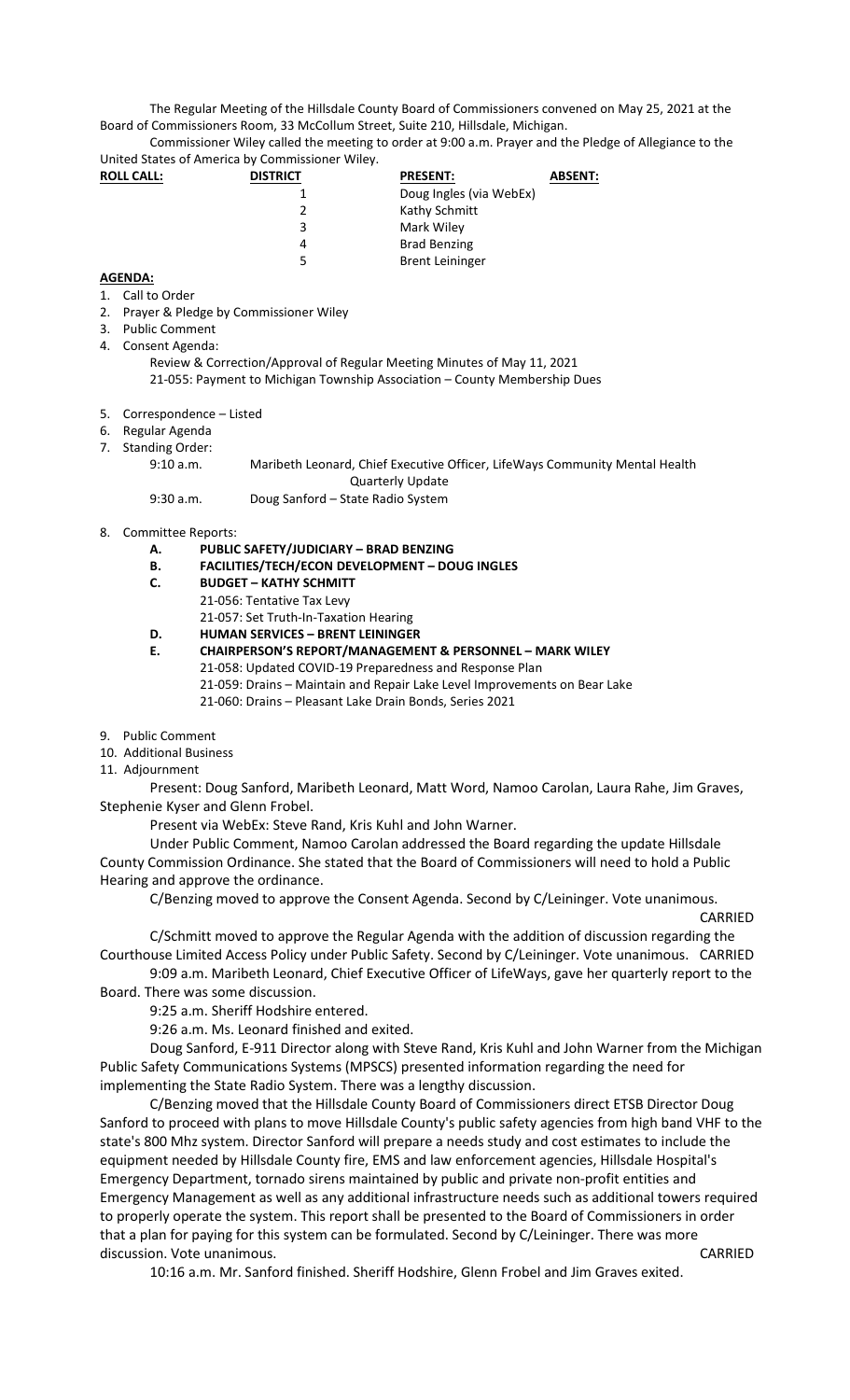The Regular Meeting of the Hillsdale County Board of Commissioners convened on May 25, 2021 at the Board of Commissioners Room, 33 McCollum Street, Suite 210, Hillsdale, Michigan.

Commissioner Wiley called the meeting to order at 9:00 a.m. Prayer and the Pledge of Allegiance to the United States of America by Commissioner Wiley.

| <b>ROLL CALL:</b> | <b>DISTRICT</b> | <b>PRESENT:</b><br><b>ABSENT:</b> |  |
|-------------------|-----------------|-----------------------------------|--|
|                   |                 | Doug Ingles (via WebEx)           |  |
|                   |                 | Kathy Schmitt                     |  |
|                   | 3               | Mark Wiley                        |  |
|                   |                 | <b>Brad Benzing</b>               |  |
|                   |                 | <b>Brent Leininger</b>            |  |

## **AGENDA:**

- 1. Call to Order
- 2. Prayer & Pledge by Commissioner Wiley
- 3. Public Comment
- 4. Consent Agenda:

Review & Correction/Approval of Regular Meeting Minutes of May 11, 2021 21-055: Payment to Michigan Township Association – County Membership Dues

- 5. Correspondence Listed
- 6. Regular Agenda
- 7. Standing Order:

9:10 a.m. Maribeth Leonard, Chief Executive Officer, LifeWays Community Mental Health Quarterly Update

9:30 a.m. Doug Sanford – State Radio System

- 8. Committee Reports:
	- **A. PUBLIC SAFETY/JUDICIARY BRAD BENZING**
	- **B. FACILITIES/TECH/ECON DEVELOPMENT DOUG INGLES**
	- **C. BUDGET KATHY SCHMITT** 
		- 21-056: Tentative Tax Levy
		- 21-057: Set Truth-In-Taxation Hearing
	- **D. HUMAN SERVICES BRENT LEININGER**

**E. CHAIRPERSON'S REPORT/MANAGEMENT & PERSONNEL – MARK WILEY** 

- 21-058: Updated COVID-19 Preparedness and Response Plan
	- 21-059: Drains Maintain and Repair Lake Level Improvements on Bear Lake
	- 21-060: Drains Pleasant Lake Drain Bonds, Series 2021
- 9. Public Comment
- 10. Additional Business
- 11. Adjournment

Present: Doug Sanford, Maribeth Leonard, Matt Word, Namoo Carolan, Laura Rahe, Jim Graves, Stephenie Kyser and Glenn Frobel.

Present via WebEx: Steve Rand, Kris Kuhl and John Warner.

Under Public Comment, Namoo Carolan addressed the Board regarding the update Hillsdale County Commission Ordinance. She stated that the Board of Commissioners will need to hold a Public Hearing and approve the ordinance.

C/Benzing moved to approve the Consent Agenda. Second by C/Leininger. Vote unanimous.

CARRIED

C/Schmitt moved to approve the Regular Agenda with the addition of discussion regarding the Courthouse Limited Access Policy under Public Safety. Second by C/Leininger. Vote unanimous. CARRIED

9:09 a.m. Maribeth Leonard, Chief Executive Officer of LifeWays, gave her quarterly report to the Board. There was some discussion.

9:25 a.m. Sheriff Hodshire entered.

9:26 a.m. Ms. Leonard finished and exited.

Doug Sanford, E-911 Director along with Steve Rand, Kris Kuhl and John Warner from the Michigan Public Safety Communications Systems (MPSCS) presented information regarding the need for implementing the State Radio System. There was a lengthy discussion.

C/Benzing moved that the Hillsdale County Board of Commissioners direct ETSB Director Doug Sanford to proceed with plans to move Hillsdale County's public safety agencies from high band VHF to the state's 800 Mhz system. Director Sanford will prepare a needs study and cost estimates to include the equipment needed by Hillsdale County fire, EMS and law enforcement agencies, Hillsdale Hospital's Emergency Department, tornado sirens maintained by public and private non-profit entities and Emergency Management as well as any additional infrastructure needs such as additional towers required to properly operate the system. This report shall be presented to the Board of Commissioners in order that a plan for paying for this system can be formulated. Second by C/Leininger. There was more discussion. Vote unanimous. CARRIED

10:16 a.m. Mr. Sanford finished. Sheriff Hodshire, Glenn Frobel and Jim Graves exited.